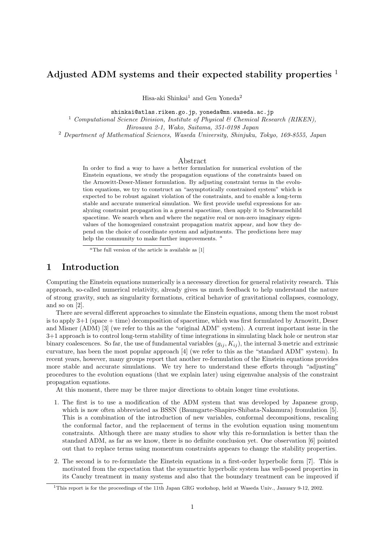# **Adjusted ADM systems and their expected stability properties** <sup>1</sup>

Hisa-aki Shinkai<sup>1</sup> and Gen Yoneda<sup>2</sup>

shinkai@atlas.riken.go.jp, yoneda@mn.waseda.ac.jp

<sup>1</sup> Computational Science Division, Institute of Physical  $\mathcal{B}$  Chemical Research (RIKEN), Hirosawa 2-1, Wako, Saitama, 351-0198 Japan

<sup>2</sup> Department of Mathematical Sciences, Waseda University, Shinjuku, Tokyo, 169-8555, Japan

#### Abstract

In order to find a way to have a better formulation for numerical evolution of the Einstein equations, we study the propagation equations of the constraints based on the Arnowitt-Deser-Misner formulation. By adjusting constraint terms in the evolution equations, we try to construct an "asymptotically constrained system" which is expected to be robust against violation of the constraints, and to enable a long-term stable and accurate numerical simulation. We first provide useful expressions for analyzing constraint propagation in a general spacetime, then apply it to Schwarzschild spacetime. We search when and where the negative real or non-zero imaginary eigenvalues of the homogenized constraint propagation matrix appear, and how they depend on the choice of coordinate system and adjustments. The predictions here may help the community to make further improvements. *<sup>a</sup>*

*<sup>a</sup>*The full version of the article is available as [1]

## **1 Introduction**

Computing the Einstein equations numerically is a necessary direction for general relativity research. This approach, so-called numerical relativity, already gives us much feedback to help understand the nature of strong gravity, such as singularity formations, critical behavior of gravitational collapses, cosmology, and so on [2].

There are several different approaches to simulate the Einstein equations, among them the most robust is to apply 3+1 (space + time) decomposition of spacetime, which was first formulated by Arnowitt, Deser and Misner (ADM) [3] (we refer to this as the "original ADM" system). A current important issue in the 3+1 approach is to control long-term stability of time integrations in simulating black hole or neutron star binary coalescences. So far, the use of fundamental variables  $(g_{ij}, K_{ij})$ , the internal 3-metric and extrinsic curvature, has been the most popular approach [4] (we refer to this as the "standard ADM" system). In recent years, however, many groups report that another re-formulation of the Einstein equations provides more stable and accurate simulations. We try here to understand these efforts through "adjusting" procedures to the evolution equations (that we explain later) using eigenvalue analysis of the constraint propagation equations.

At this moment, there may be three major directions to obtain longer time evolutions.

- 1. The first is to use a modification of the ADM system that was developed by Japanese group, which is now often abbreviated as BSSN (Baumgarte-Shapiro-Shibata-Nakamura) fromulation [5]. This is a combination of the introduction of new variables, conformal decompositions, rescaling the conformal factor, and the replacement of terms in the evolution equation using momentum constraints. Although there are many studies to show why this re-formulation is better than the standard ADM, as far as we know, there is no definite conclusion yet. One observation [6] pointed out that to replace terms using momentum constraints appears to change the stability properties.
- 2. The second is to re-formulate the Einstein equations in a first-order hyperbolic form [7]. This is motivated from the expectation that the symmetric hyperbolic system has well-posed properties in its Cauchy treatment in many systems and also that the boundary treatment can be improved if

<sup>1</sup>This report is for the proceedings of the 11th Japan GRG workshop, held at Waseda Univ., January 9-12, 2002.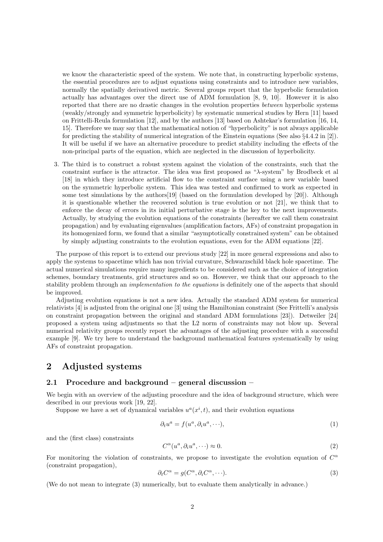we know the characteristic speed of the system. We note that, in constructing hyperbolic systems, the essential procedures are to adjust equations using constraints and to introduce new variables, normally the spatially derivatived metric. Several groups report that the hyperbolic formulation actually has advantages over the direct use of ADM formulation [8, 9, 10]. However it is also reported that there are no drastic changes in the evolution properties between hyperbolic systems (weakly/strongly and symmetric hyperbolicity) by systematic numerical studies by Hern [11] based on Frittelli-Reula formulation [12], and by the authors [13] based on Ashtekar's formulation [16, 14, 15]. Therefore we may say that the mathematical notion of "hyperbolicity" is not always applicable for predicting the stability of numerical integration of the Einstein equations (See also §4.4.2 in [2]). It will be useful if we have an alternative procedure to predict stability including the effects of the non-principal parts of the equation, which are neglected in the discussion of hyperbolicity.

3. The third is to construct a robust system against the violation of the constraints, such that the constraint surface is the attractor. The idea was first proposed as "λ-system" by Brodbeck et al [18] in which they introduce artificial flow to the constraint surface using a new variable based on the symmetric hyperbolic system. This idea was tested and confirmed to work as expected in some test simulations by the authors<sup>[19]</sup> (based on the formulation developed by [20]). Although it is questionable whether the recovered solution is true evolution or not [21], we think that to enforce the decay of errors in its initial perturbative stage is the key to the next improvements. Actually, by studying the evolution equations of the constraints (hereafter we call them constraint propagation) and by evaluating eigenvalues (amplification factors, AFs) of constraint propagation in its homogenized form, we found that a similar "asymptotically constrained system" can be obtained by simply adjusting constraints to the evolution equations, even for the ADM equations [22].

The purpose of this report is to extend our previous study [22] in more general expressions and also to apply the systems to spacetime which has non trivial curvature, Schwarzschild black hole spacetime. The actual numerical simulations require many ingredients to be considered such as the choice of integration schemes, boundary treatments, grid structures and so on. However, we think that our approach to the stability problem through an implementation to the equations is definitely one of the aspects that should be improved.

Adjusting evolution equations is not a new idea. Actually the standard ADM system for numerical relativists [4] is adjusted from the original one [3] using the Hamiltonian constraint (See Frittelli's analysis on constraint propagation between the original and standard ADM formulations [23]). Detweiler [24] proposed a system using adjustments so that the L2 norm of constraints may not blow up. Several numerical relativity groups recently report the advantages of the adjusting procedure with a successful example [9]. We try here to understand the background mathematical features systematically by using AFs of constraint propagation.

# **2 Adjusted systems**

### **2.1 Procedure and background – general discussion –**

We begin with an overview of the adjusting procedure and the idea of background structure, which were described in our previous work [19, 22].

Suppose we have a set of dynamical variables  $u^a(x^i, t)$ , and their evolution equations

$$
\partial_t u^a = f(u^a, \partial_i u^a, \cdots), \tag{1}
$$

and the (first class) constraints

$$
C^{\alpha}(u^a, \partial_i u^a, \cdots) \approx 0. \tag{2}
$$

For monitoring the violation of constraints, we propose to investigate the evolution equation of  $C^{\alpha}$ (constraint propagation),

$$
\partial_t C^{\alpha} = g(C^{\alpha}, \partial_i C^{\alpha}, \cdots). \tag{3}
$$

(We do not mean to integrate (3) numerically, but to evaluate them analytically in advance.)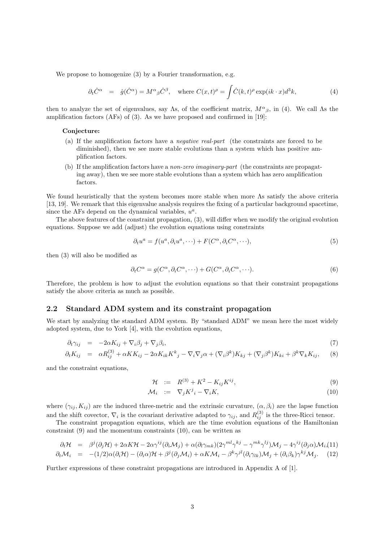We propose to homogenize (3) by a Fourier transformation, e.g.

$$
\partial_t \hat{C}^{\alpha} = \hat{g}(\hat{C}^{\alpha}) = M^{\alpha}{}_{\beta} \hat{C}^{\beta}, \quad \text{where } C(x,t)^{\rho} = \int \hat{C}(k,t)^{\rho} \exp(ik \cdot x) d^3k,
$$
 (4)

then to analyze the set of eigenvalues, say Λs, of the coefficient matrix,  $M^{\alpha}{}_{\beta}$ , in (4). We call Λs the amplification factors (AFs) of (3). As we have proposed and confirmed in [19]:

#### **Conjecture:**

- (a) If the amplification factors have a negative real-part (the constraints are forced to be diminished), then we see more stable evolutions than a system which has positive amplification factors.
- (b) If the amplification factors have a non-zero imaginary-part (the constraints are propagating away), then we see more stable evolutions than a system which has zero amplification factors.

We found heuristically that the system becomes more stable when more Λs satisfy the above criteria [13, 19]. We remark that this eigenvalue analysis requires the fixing of a particular background spacetime, since the AFs depend on the dynamical variables,  $u^a$ .

The above features of the constraint propagation, (3), will differ when we modify the original evolution equations. Suppose we add (adjust) the evolution equations using constraints

$$
\partial_t u^a = f(u^a, \partial_i u^a, \cdots) + F(C^{\alpha}, \partial_i C^{\alpha}, \cdots), \tag{5}
$$

then (3) will also be modified as

$$
\partial_t C^{\alpha} = g(C^{\alpha}, \partial_i C^{\alpha}, \cdots) + G(C^{\alpha}, \partial_i C^{\alpha}, \cdots). \tag{6}
$$

Therefore, the problem is how to adjust the evolution equations so that their constraint propagations satisfy the above criteria as much as possible.

### **2.2 Standard ADM system and its constraint propagation**

We start by analyzing the standard ADM system. By "standard ADM" we mean here the most widely adopted system, due to York [4], with the evolution equations,

$$
\partial_t \gamma_{ij} = -2\alpha K_{ij} + \nabla_i \beta_j + \nabla_j \beta_i,\tag{7}
$$

$$
\partial_t K_{ij} = \alpha R_{ij}^{(3)} + \alpha K K_{ij} - 2\alpha K_{ik} K^k{}_j - \nabla_i \nabla_j \alpha + (\nabla_i \beta^k) K_{kj} + (\nabla_j \beta^k) K_{ki} + \beta^k \nabla_k K_{ij}, \tag{8}
$$

and the constraint equations,

$$
\mathcal{H} := R^{(3)} + K^2 - K_{ij} K^{ij}, \tag{9}
$$

$$
\mathcal{M}_i \quad := \quad \nabla_j K^j{}_i - \nabla_i K,\tag{10}
$$

where  $(\gamma_{ij}, K_{ij})$  are the induced three-metric and the extrinsic curvature,  $(\alpha, \beta_i)$  are the lapse function and the shift covector,  $\nabla_i$  is the covariant derivative adapted to  $\gamma_{ij}$ , and  $R_{ij}^{(3)}$  is the three-Ricci tensor.

The constraint propagation equations, which are the time evolution equations of the Hamiltonian constraint (9) and the momentum constraints (10), can be written as

$$
\partial_t \mathcal{H} = \beta^j (\partial_j \mathcal{H}) + 2\alpha K \mathcal{H} - 2\alpha \gamma^{ij} (\partial_i \mathcal{M}_j) + \alpha (\partial_l \gamma_{mk}) (2\gamma^{ml} \gamma^{kj} - \gamma^{mk} \gamma^{lj}) \mathcal{M}_j - 4\gamma^{ij} (\partial_j \alpha) \mathcal{M}_i, (11) \n\partial_t \mathcal{M}_i = -(1/2)\alpha (\partial_i \mathcal{H}) - (\partial_i \alpha) \mathcal{H} + \beta^j (\partial_j \mathcal{M}_i) + \alpha K \mathcal{M}_i - \beta^k \gamma^{jl} (\partial_i \gamma_{lk}) \mathcal{M}_j + (\partial_i \beta_k) \gamma^{kj} \mathcal{M}_j. \tag{12}
$$

Further expressions of these constraint propagations are introduced in Appendix A of [1].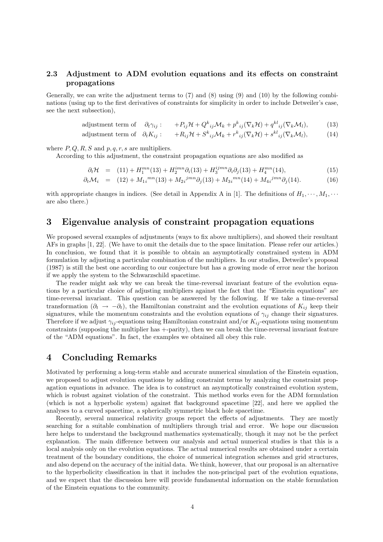### **2.3 Adjustment to ADM evolution equations and its effects on constraint propagations**

Generally, we can write the adjustment terms to (7) and (8) using (9) and (10) by the following combinations (using up to the first derivatives of constraints for simplicity in order to include Detweiler's case, see the next subsection),

adjustment term of 
$$
\partial_t \gamma_{ij}
$$
:  $+P_{ij} \mathcal{H} + Q^k_{ij} \mathcal{M}_k + p^k_{ij} (\nabla_k \mathcal{H}) + q^{kl}_{ij} (\nabla_k \mathcal{M}_l),$  (13)

adjustment term of 
$$
\partial_t K_{ij}
$$
:  $+R_{ij}\mathcal{H} + S^k_{ij}\mathcal{M}_k + r^k_{ij}(\nabla_k \mathcal{H}) + s^{kl}_{ij}(\nabla_k \mathcal{M}_l),$  (14)

where  $P, Q, R, S$  and  $p, q, r, s$  are multipliers.

According to this adjustment, the constraint propagation equations are also modified as

$$
\partial_t \mathcal{H} = (11) + H_1^{mn}(13) + H_2^{imn} \partial_i (13) + H_3^{ijmn} \partial_i \partial_j (13) + H_4^{mn}(14), \tag{15}
$$

$$
\partial_t \mathcal{M}_i = (12) + M_{1i}^{mn}(13) + M_{2i}^{jmn} \partial_j(13) + M_{3i}^{mn}(14) + M_{4i}^{jmn} \partial_j(14). \tag{16}
$$

with appropriate changes in indices. (See detail in Appendix A in [1]. The definitions of  $H_1, \dots, M_1, \dots$ are also there.)

## **3 Eigenvalue analysis of constraint propagation equations**

We proposed several examples of adjustments (ways to fix above multipliers), and showed their resultant AFs in graphs [1, 22]. (We have to omit the details due to the space limitation. Please refer our articles.) In conclusion, we found that it is possible to obtain an asymptotically constrained system in ADM formulation by adjusting a particular combination of the multipliers. In our studies, Detweiler's proposal (1987) is still the best one according to our conjecture but has a growing mode of error near the horizon if we apply the system to the Schwarzschild spacetime.

The reader might ask why we can break the time-reversal invariant feature of the evolution equations by a particular choice of adjusting multipliers against the fact that the "Einstein equations" are time-reversal invariant. This question can be answered by the following. If we take a time-reversal transformation ( $\partial_t \to -\partial_t$ ), the Hamiltonian constraint and the evolution equations of  $K_{ij}$  keep their signatures, while the momentum constraints and the evolution equations of  $\gamma_{ij}$  change their signatures. Therefore if we adjust  $\gamma_{ij}$ -equations using Hamiltonian constraint and/or  $K_{ij}$ -equations using momentum constraints (supposing the multiplier has +-parity), then we can break the time-reversal invariant feature of the "ADM equations". In fact, the examples we obtained all obey this rule.

### **4 Concluding Remarks**

Motivated by performing a long-term stable and accurate numerical simulation of the Einstein equation, we proposed to adjust evolution equations by adding constraint terms by analyzing the constraint propagation equations in advance. The idea is to construct an asymptotically constrained evolution system, which is robust against violation of the constraint. This method works even for the ADM formulation (which is not a hyperbolic system) against flat background spacetime [22], and here we applied the analyses to a curved spacetime, a spherically symmetric black hole spacetime.

Recently, several numerical relativity groups report the effects of adjustments. They are mostly searching for a suitable combination of multipliers through trial and error. We hope our discussion here helps to understand the background mathematics systematically, though it may not be the perfect explanation. The main difference between our analysis and actual numerical studies is that this is a local analysis only on the evolution equations. The actual numerical results are obtained under a certain treatment of the boundary conditions, the choice of numerical integration schemes and grid structures, and also depend on the accuracy of the initial data. We think, however, that our proposal is an alternative to the hyperbolicity classification in that it includes the non-principal part of the evolution equations, and we expect that the discussion here will provide fundamental information on the stable formulation of the Einstein equations to the community.